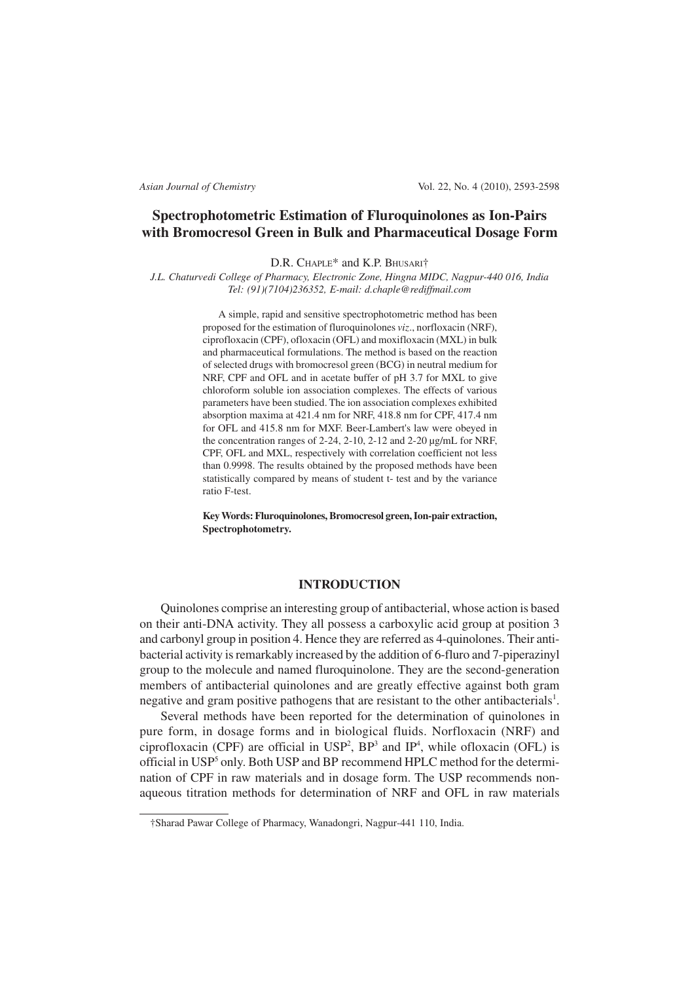*Asian Journal of Chemistry* Vol. 22, No. 4 (2010), 2593-2598

# **Spectrophotometric Estimation of Fluroquinolones as Ion-Pairs with Bromocresol Green in Bulk and Pharmaceutical Dosage Form**

D.R. CHAPLE\* and K.P. BHUSARI†

*J.L. Chaturvedi College of Pharmacy, Electronic Zone, Hingna MIDC, Nagpur-440 016, India Tel: (91)(7104)236352, E-mail: d.chaple@rediffmail.com*

> A simple, rapid and sensitive spectrophotometric method has been proposed for the estimation of fluroquinolones *viz*., norfloxacin (NRF), ciprofloxacin (CPF), ofloxacin (OFL) and moxifloxacin (MXL) in bulk and pharmaceutical formulations. The method is based on the reaction of selected drugs with bromocresol green (BCG) in neutral medium for NRF, CPF and OFL and in acetate buffer of pH 3.7 for MXL to give chloroform soluble ion association complexes. The effects of various parameters have been studied. The ion association complexes exhibited absorption maxima at 421.4 nm for NRF, 418.8 nm for CPF, 417.4 nm for OFL and 415.8 nm for MXF. Beer-Lambert's law were obeyed in the concentration ranges of 2-24, 2-10, 2-12 and 2-20 µg/mL for NRF, CPF, OFL and MXL, respectively with correlation coefficient not less than 0.9998. The results obtained by the proposed methods have been statistically compared by means of student t- test and by the variance ratio F-test.

> **Key Words: Fluroquinolones, Bromocresol green, Ion-pair extraction, Spectrophotometry.**

### **INTRODUCTION**

Quinolones comprise an interesting group of antibacterial, whose action is based on their anti-DNA activity. They all possess a carboxylic acid group at position 3 and carbonyl group in position 4. Hence they are referred as 4-quinolones. Their antibacterial activity is remarkably increased by the addition of 6-fluro and 7-piperazinyl group to the molecule and named fluroquinolone. They are the second-generation members of antibacterial quinolones and are greatly effective against both gram negative and gram positive pathogens that are resistant to the other antibacterials<sup>1</sup>.

Several methods have been reported for the determination of quinolones in pure form, in dosage forms and in biological fluids. Norfloxacin (NRF) and ciprofloxacin (CPF) are official in  $USP^2$ ,  $BP^3$  and  $IP^4$ , while ofloxacin (OFL) is official in USP<sup>5</sup> only. Both USP and BP recommend HPLC method for the determination of CPF in raw materials and in dosage form. The USP recommends nonaqueous titration methods for determination of NRF and OFL in raw materials

<sup>†</sup>Sharad Pawar College of Pharmacy, Wanadongri, Nagpur-441 110, India.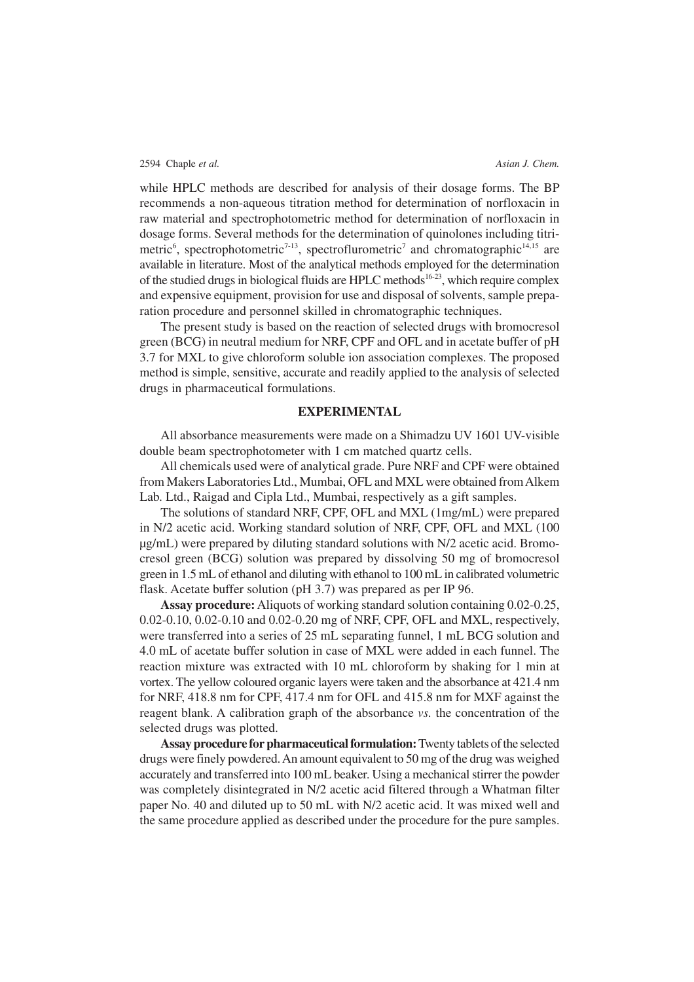#### 2594 Chaple *et al. Asian J. Chem.*

while HPLC methods are described for analysis of their dosage forms. The BP recommends a non-aqueous titration method for determination of norfloxacin in raw material and spectrophotometric method for determination of norfloxacin in dosage forms. Several methods for the determination of quinolones including titrimetric<sup>6</sup>, spectrophotometric<sup>7-13</sup>, spectroflurometric<sup>7</sup> and chromatographic<sup>14,15</sup> are available in literature. Most of the analytical methods employed for the determination of the studied drugs in biological fluids are HPLC methods<sup>16-23</sup>, which require complex and expensive equipment, provision for use and disposal of solvents, sample preparation procedure and personnel skilled in chromatographic techniques.

The present study is based on the reaction of selected drugs with bromocresol green (BCG) in neutral medium for NRF, CPF and OFL and in acetate buffer of pH 3.7 for MXL to give chloroform soluble ion association complexes. The proposed method is simple, sensitive, accurate and readily applied to the analysis of selected drugs in pharmaceutical formulations.

#### **EXPERIMENTAL**

All absorbance measurements were made on a Shimadzu UV 1601 UV-visible double beam spectrophotometer with 1 cm matched quartz cells.

All chemicals used were of analytical grade. Pure NRF and CPF were obtained from Makers Laboratories Ltd., Mumbai, OFL and MXL were obtained from Alkem Lab. Ltd., Raigad and Cipla Ltd., Mumbai, respectively as a gift samples.

The solutions of standard NRF, CPF, OFL and MXL (1mg/mL) were prepared in N/2 acetic acid. Working standard solution of NRF, CPF, OFL and MXL (100  $\mu$ g/mL) were prepared by diluting standard solutions with N/2 acetic acid. Bromocresol green (BCG) solution was prepared by dissolving 50 mg of bromocresol green in 1.5 mL of ethanol and diluting with ethanol to 100 mL in calibrated volumetric flask. Acetate buffer solution (pH 3.7) was prepared as per IP 96.

**Assay procedure:**Aliquots of working standard solution containing 0.02-0.25, 0.02-0.10, 0.02-0.10 and 0.02-0.20 mg of NRF, CPF, OFL and MXL, respectively, were transferred into a series of 25 mL separating funnel, 1 mL BCG solution and 4.0 mL of acetate buffer solution in case of MXL were added in each funnel. The reaction mixture was extracted with 10 mL chloroform by shaking for 1 min at vortex. The yellow coloured organic layers were taken and the absorbance at 421.4 nm for NRF, 418.8 nm for CPF, 417.4 nm for OFL and 415.8 nm for MXF against the reagent blank. A calibration graph of the absorbance *vs.* the concentration of the selected drugs was plotted.

**Assay procedure for pharmaceutical formulation:** Twenty tablets of the selected drugs were finely powdered. An amount equivalent to 50 mg of the drug was weighed accurately and transferred into 100 mL beaker. Using a mechanical stirrer the powder was completely disintegrated in N/2 acetic acid filtered through a Whatman filter paper No. 40 and diluted up to 50 mL with N/2 acetic acid. It was mixed well and the same procedure applied as described under the procedure for the pure samples.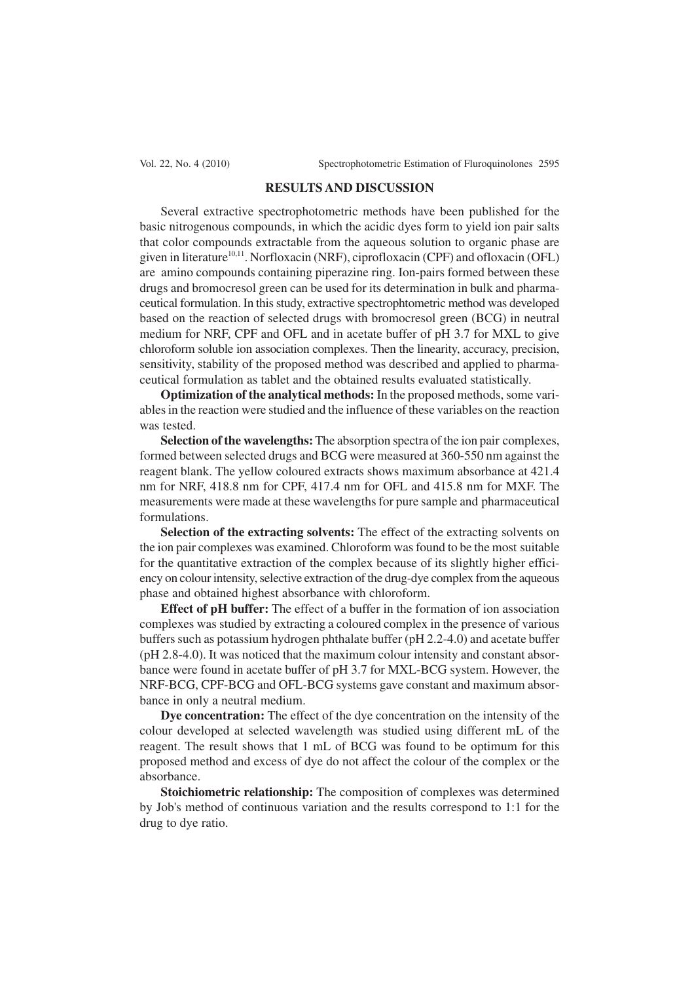# **RESULTS AND DISCUSSION**

Several extractive spectrophotometric methods have been published for the basic nitrogenous compounds, in which the acidic dyes form to yield ion pair salts that color compounds extractable from the aqueous solution to organic phase are given in literature 10,11. Norfloxacin (NRF), ciprofloxacin (CPF) and ofloxacin (OFL) are amino compounds containing piperazine ring. Ion-pairs formed between these drugs and bromocresol green can be used for its determination in bulk and pharmaceutical formulation. In this study, extractive spectrophtometric method was developed based on the reaction of selected drugs with bromocresol green (BCG) in neutral medium for NRF, CPF and OFL and in acetate buffer of pH 3.7 for MXL to give chloroform soluble ion association complexes. Then the linearity, accuracy, precision, sensitivity, stability of the proposed method was described and applied to pharmaceutical formulation as tablet and the obtained results evaluated statistically.

**Optimization of the analytical methods:** In the proposed methods, some variables in the reaction were studied and the influence of these variables on the reaction was tested.

**Selection of the wavelengths:** The absorption spectra of the ion pair complexes, formed between selected drugs and BCG were measured at 360-550 nm against the reagent blank. The yellow coloured extracts shows maximum absorbance at 421.4 nm for NRF, 418.8 nm for CPF, 417.4 nm for OFL and 415.8 nm for MXF. The measurements were made at these wavelengths for pure sample and pharmaceutical formulations.

**Selection of the extracting solvents:** The effect of the extracting solvents on the ion pair complexes was examined. Chloroform was found to be the most suitable for the quantitative extraction of the complex because of its slightly higher efficiency on colour intensity, selective extraction of the drug-dye complex from the aqueous phase and obtained highest absorbance with chloroform.

**Effect of pH buffer:** The effect of a buffer in the formation of ion association complexes was studied by extracting a coloured complex in the presence of various buffers such as potassium hydrogen phthalate buffer (pH 2.2-4.0) and acetate buffer (pH 2.8-4.0). It was noticed that the maximum colour intensity and constant absorbance were found in acetate buffer of pH 3.7 for MXL-BCG system. However, the NRF-BCG, CPF-BCG and OFL-BCG systems gave constant and maximum absorbance in only a neutral medium.

**Dye concentration:** The effect of the dye concentration on the intensity of the colour developed at selected wavelength was studied using different mL of the reagent. The result shows that 1 mL of BCG was found to be optimum for this proposed method and excess of dye do not affect the colour of the complex or the absorbance.

**Stoichiometric relationship:** The composition of complexes was determined by Job's method of continuous variation and the results correspond to 1:1 for the drug to dye ratio.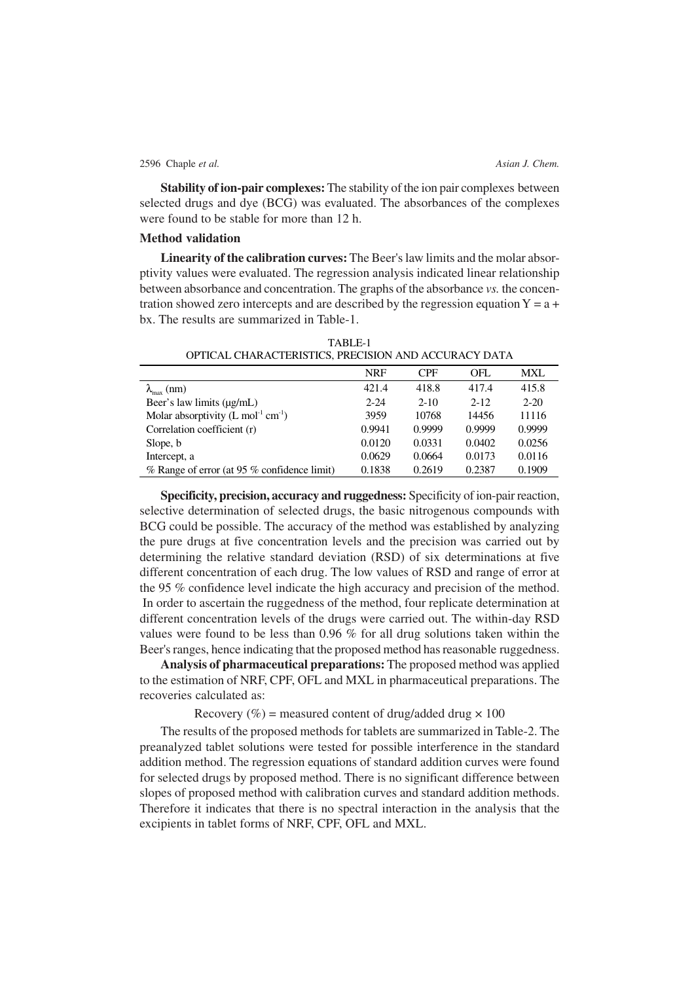#### 2596 Chaple *et al. Asian J. Chem.*

**Stability of ion-pair complexes:** The stability of the ion pair complexes between selected drugs and dye (BCG) was evaluated. The absorbances of the complexes were found to be stable for more than 12 h.

#### **Method validation**

**Linearity of the calibration curves:** The Beer's law limits and the molar absorptivity values were evaluated. The regression analysis indicated linear relationship between absorbance and concentration. The graphs of the absorbance *vs.* the concentration showed zero intercepts and are described by the regression equation  $Y = a +$ bx. The results are summarized in Table-1.

TABLE-1 OPTICAL CHARACTERISTICS, PRECISION AND ACCURACY DATA

|                                                           | <b>NRF</b> | <b>CPF</b> | OFL      | MXL      |
|-----------------------------------------------------------|------------|------------|----------|----------|
| $\lambda_{\text{max}}$ (nm)                               | 421.4      | 418.8      | 417.4    | 415.8    |
| Beer's law limits $(\mu g/mL)$                            | $2 - 24$   | $2 - 10$   | $2 - 12$ | $2 - 20$ |
| Molar absorptivity $(L \text{ mol}^{-1} \text{ cm}^{-1})$ | 3959       | 10768      | 14456    | 11116    |
| Correlation coefficient (r)                               | 0.9941     | 0.9999     | 0.9999   | 0.9999   |
| Slope, b                                                  | 0.0120     | 0.0331     | 0.0402   | 0.0256   |
| Intercept, a                                              | 0.0629     | 0.0664     | 0.0173   | 0.0116   |
| % Range of error (at 95 % confidence limit)               | 0.1838     | 0.2619     | 0.2387   | 0.1909   |

**Specificity, precision, accuracy and ruggedness:** Specificity of ion-pair reaction, selective determination of selected drugs, the basic nitrogenous compounds with BCG could be possible. The accuracy of the method was established by analyzing the pure drugs at five concentration levels and the precision was carried out by determining the relative standard deviation (RSD) of six determinations at five different concentration of each drug. The low values of RSD and range of error at the 95 % confidence level indicate the high accuracy and precision of the method. In order to ascertain the ruggedness of the method, four replicate determination at different concentration levels of the drugs were carried out. The within-day RSD values were found to be less than 0.96 % for all drug solutions taken within the Beer's ranges, hence indicating that the proposed method has reasonable ruggedness.

**Analysis of pharmaceutical preparations:** The proposed method was applied to the estimation of NRF, CPF, OFL and MXL in pharmaceutical preparations. The recoveries calculated as:

Recovery (%) = measured content of drug/added drug  $\times$  100

The results of the proposed methods for tablets are summarized in Table-2. The preanalyzed tablet solutions were tested for possible interference in the standard addition method. The regression equations of standard addition curves were found for selected drugs by proposed method. There is no significant difference between slopes of proposed method with calibration curves and standard addition methods. Therefore it indicates that there is no spectral interaction in the analysis that the excipients in tablet forms of NRF, CPF, OFL and MXL.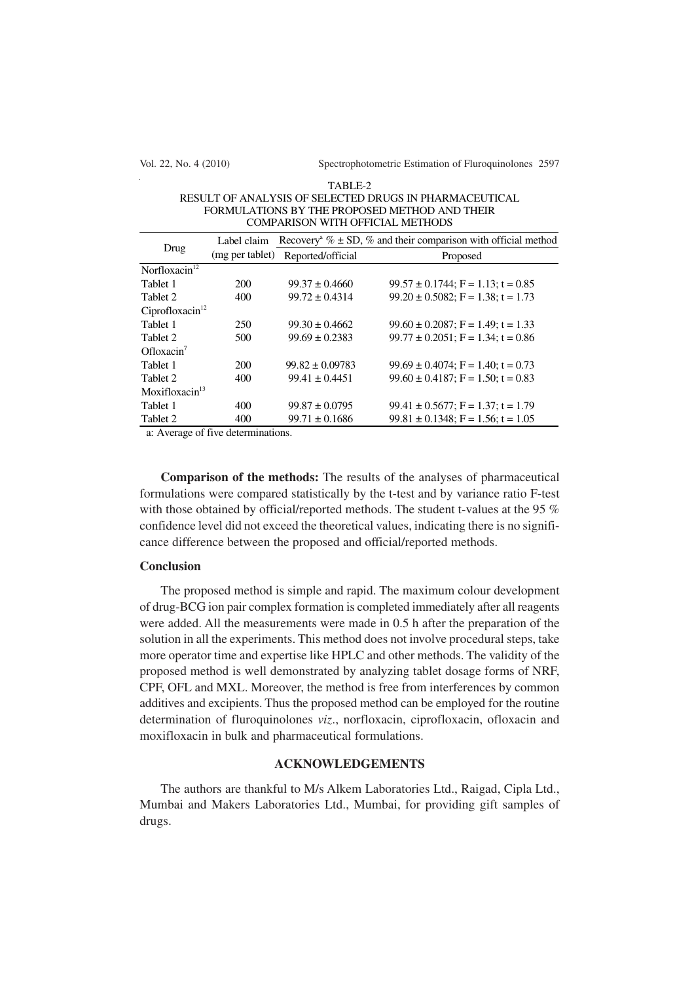Vol. 22, No. 4 (2010) Spectrophotometric Estimation of Fluroquinolones 2597

| TABLE-2 |  |
|---------|--|
|         |  |

#### RESULT OF ANALYSIS OF SELECTED DRUGS IN PHARMACEUTICAL FORMULATIONS BY THE PROPOSED METHOD AND THEIR COMPARISON WITH OFFICIAL METHODS

| Drug                       | Label claim     | Recovery <sup>a</sup> $\% \pm SD$ , $\%$ and their comparison with official method |                                         |  |
|----------------------------|-----------------|------------------------------------------------------------------------------------|-----------------------------------------|--|
|                            | (mg per tablet) | Reported/official                                                                  | Proposed                                |  |
| Norfloxacin $12$           |                 |                                                                                    |                                         |  |
| Tablet 1                   | 200             | $99.37 \pm 0.4660$                                                                 | $99.57 \pm 0.1744$ ; F = 1.13; t = 0.85 |  |
| Tablet 2                   | 400             | $99.72 \pm 0.4314$                                                                 | $99.20 \pm 0.5082$ ; F = 1.38; t = 1.73 |  |
| Ciprofloxacin $12$         |                 |                                                                                    |                                         |  |
| Tablet 1                   | 250             | $99.30 \pm 0.4662$                                                                 | $99.60 \pm 0.2087$ ; F = 1.49; t = 1.33 |  |
| Tablet 2                   | 500             | $99.69 \pm 0.2383$                                                                 | $99.77 \pm 0.2051$ ; F = 1.34; t = 0.86 |  |
| Ofloxacin <sup>7</sup>     |                 |                                                                                    |                                         |  |
| Tablet 1                   | 200             | $99.82 \pm 0.09783$                                                                | $99.69 \pm 0.4074$ ; F = 1.40; t = 0.73 |  |
| Tablet 2                   | 400             | $99.41 \pm 0.4451$                                                                 | $99.60 \pm 0.4187$ : F = 1.50; t = 0.83 |  |
| Moxifloxacin <sup>13</sup> |                 |                                                                                    |                                         |  |
| Tablet 1                   | 400             | $99.87 \pm 0.0795$                                                                 | $99.41 \pm 0.5677$ ; F = 1.37; t = 1.79 |  |
| Tablet 2                   | 400             | $99.71 \pm 0.1686$                                                                 | $99.81 \pm 0.1348$ ; F = 1.56; t = 1.05 |  |

a: Average of five determinations.

**Comparison of the methods:** The results of the analyses of pharmaceutical formulations were compared statistically by the t-test and by variance ratio F-test with those obtained by official/reported methods. The student t-values at the 95 % confidence level did not exceed the theoretical values, indicating there is no significance difference between the proposed and official/reported methods.

#### **Conclusion**

The proposed method is simple and rapid. The maximum colour development of drug-BCG ion pair complex formation is completed immediately after all reagents were added. All the measurements were made in 0.5 h after the preparation of the solution in all the experiments. This method does not involve procedural steps, take more operator time and expertise like HPLC and other methods. The validity of the proposed method is well demonstrated by analyzing tablet dosage forms of NRF, CPF, OFL and MXL. Moreover, the method is free from interferences by common additives and excipients. Thus the proposed method can be employed for the routine determination of fluroquinolones *viz*., norfloxacin, ciprofloxacin, ofloxacin and moxifloxacin in bulk and pharmaceutical formulations.

### **ACKNOWLEDGEMENTS**

The authors are thankful to M/s Alkem Laboratories Ltd., Raigad, Cipla Ltd., Mumbai and Makers Laboratories Ltd., Mumbai, for providing gift samples of drugs.